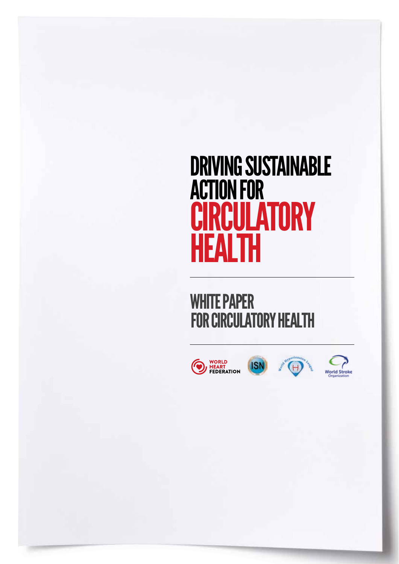## DRIVING SUSTAINABLE ACTION FOR **CIRCULATORY HEALTH**

FOR CIRCULATORY HEALTH WHITE PAPER



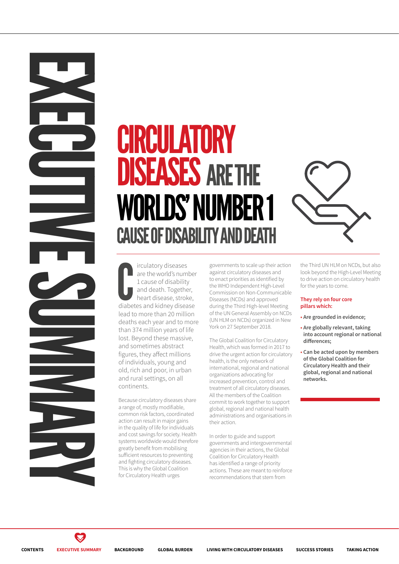# WORLDS' NUMBER **CAUSE OF DISABILITY AND DFA CIRCULATORY**<br> **CIRCULATORY**<br> **CIRCULATORY**<br> **CIRCULATORY**<br> **CIRCULATORY**<br>
CAUSE OF DISABILITY AND<br>
CAUSE OF DISABILITY AND<br>
CAUSE OF DISABILITY AND<br>
CAUSE OF DISABILITY AND<br>
CAUSE OF DISABILITY AND<br>
CAUSE OF DISABILITY AN DISEASESARE THE



The increases are the world's number<br>1 cause of disability<br>and death. Together,<br>heart disease, stroke,<br>diabetes and kidney disease irculatory diseases are the world's number 1 cause of disability and death. Together, heart disease, stroke, lead to more than 20 million deaths each year and to more than 374 million years of life lost. Beyond these massive, and sometimes abstract figures, they affect millions of individuals, young and old, rich and poor, in urban and rural settings, on all continents.

Because circulatory diseases share a range of, mostly modifiable, common risk factors, coordinated action can result in major gains in the quality of life for individuals and cost savings for society. Health systems worldwide would therefore greatly benefit from mobilising sufficient resources to preventing and fighting circulatory diseases. This is why the Global Coalition for Circulatory Health urges

governments to scale up their action against circulatory diseases and to enact priorities as identified by the WHO Independent High-Level Commission on Non-Communicable Diseases (NCDs) and approved during the Third High-level Meeting of the UN General Assembly on NCDs (UN HLM on NCDs) organized in New York on 27 September 2018.

The Global Coalition for Circulatory Health, which was formed in 2017 to drive the urgent action for circulatory health, is the only network of international, regional and national organizations advocating for increased prevention, control and treatment of all circulatory diseases. All the members of the Coalition commit to work together to support global, regional and national health administrations and organisations in their action.

In order to guide and support governments and intergovernmental agencies in their actions, the Global Coalition for Circulatory Health has identified a range of priority actions. These are meant to reinforce recommendations that stem from

the Third UN HLM on NCDs, but also look beyond the High-Level Meeting to drive action on circulatory health for the years to come.

#### **They rely on four core pillars which:**

- **• Are grounded in evidence;**
- **• Are globally relevant, taking into account regional or national differences;**
- **Can be acted upon by members of the Global Coalition for Circulatory Health and their global, regional and national networks.**

 $\blacktriangledown$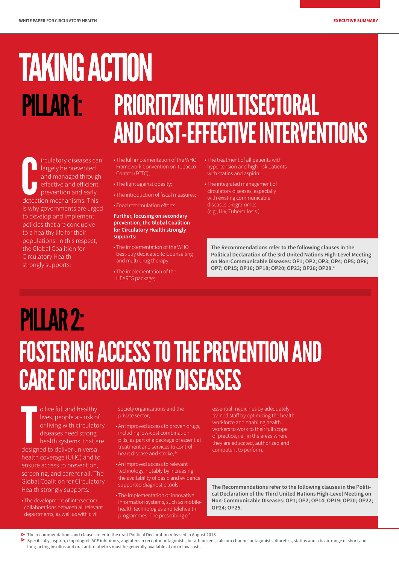# PILLAR 1: TAKING ACTION

## PRIORITIZING MULTISECTORAL AND COST-EFFECTIVE INTERVENTIONS

contained through the prevented and managed through effective and efficient prevention and early detection mechanisms. This irculatory diseases can largely be prevented and managed through effective and efficient prevention and early is why governments are urged to develop and implement policies that are conducive to a healthy life for their populations. In this respect, the Global Coalition for Circulatory Health strongly supports:

- The full implementation of the WHO Framework Convention on Tobacco Control (FCTC);
- The fight against obesity;
- The introduction of fiscal measures;
- Food reformulation efforts.

#### **Further, focusing on secondary prevention, the Global Coalition for Circulatory Health strongly supports:**

- The implementation of the WHO best-buy dedicated to Counselling and multi-drug therapy;
- The implementation of the HEARTS package;
- The treatment of all patients with hypertension and high-risk patients with statins and aspirin;
- The integrated management of circulatory diseases, especially with existing communicable diseases programmes (e.g., HIV, Tuberculosis.)

**The Recommendations refer to the following clauses in the Political Declaration of the 3rd United Nations High-Level Meeting on Non-Communicable Diseases: OP1; OP2; OP3; OP4; OP5; OP6; OP7; OP15; OP16; OP18; OP20; OP23; OP26; OP28.a**

## PILLAR 2: FOSTERING ACCESS TO THE PREVENTION AND CARE OF CIRCULATORY DISEASES

o live full and healthy<br>lives, people at- risk of<br>or living with circulato<br>diseases need strong<br>health systems, that an<br>designed to deliver universal o live full and healthy lives, people at- risk of or living with circulatory diseases need strong health systems, that are health coverage (UHC) and to ensure access to prevention, screening, and care for all. The Global Coalition for Circulatory Health strongly supports:

• The development of intersectoral collaborations between all relevant departments, as well as with civil

society organizations and the private sector;

- An improved access to proven drugs, including low-cost combination pills, as part of a package of essential treatment and services to control heart disease and stroke:  $<sup>b</sup>$ </sup>
- An improved access to relevant technology, notably by increasing the availability of basic and evidence supported diagnostic tools;
- The implementation of innovative information systems, such as mobilehealth technologies and telehealth programmes; The prescribing of

essential medicines by adequately trained staff by optimizing the health workforce and enabling health workers to work to their full scope of practice, i.e., in the areas where they are educated, authorized and competent to perform.

**The Recommendations refer to the following clauses in the Political Declaration of the Third United Nations High-Level Meeting on Non-Communicable Diseases: OP1; OP2; OP14; OP19; OP20; OP22; OP24; OP25.**

- a The recommendations and clauses refer to the draft Political Declaration released in August 2018.
- b Specifically, aspirin, clopidogrel, ACE inhibitors, angiotensin receptor antagonists, beta-blockers, calcium channel antagonists, diuretics, statins and a basic range of short and long-acting insulins and oral anti-diabetics must be generally available at no or low costs.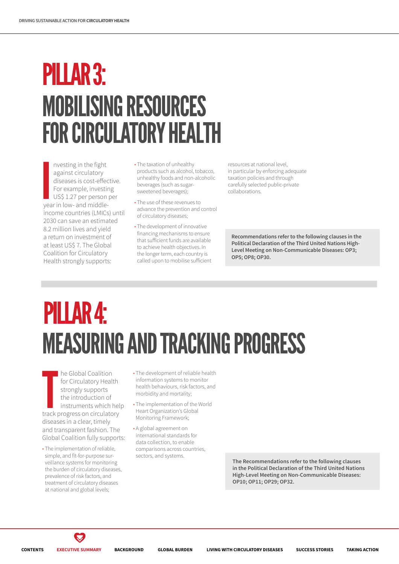## PILLAR 3: MOBILISING RESOURCES FOR CIRCULATORY HEALTH

**I**<br>I<br>I<br>I<br>I<br>I<br>I nvesting in the fight against circulatory diseases is cost-effective. For example, investing US\$ 1.27 per person per year in low- and middleincome countries (LMICs) until 2030 can save an estimated 8.2 million lives and yield a return on investment of at least US\$ 7. The Global Coalition for Circulatory Health strongly supports:

- The taxation of unhealthy products such as alcohol, tobacco, unhealthy foods and non-alcoholic beverages (such as sugarsweetened beverages);
- The use of these revenues to advance the prevention and control of circulatory diseases;
- The development of innovative financing mechanisms to ensure that sufficient funds are available to achieve health objectives. In the longer term, each country is called upon to mobilise sufficient

resources at national level, in particular by enforcing adequate taxation policies and through carefully selected public-private collaborations.

**Recommendations refer to the following clauses in the Political Declaration of the Third United Nations High-Level Meeting on Non-Communicable Diseases: OP3; OP5; OP8; OP30.** 

## PILLAR 4: MEASURING AND TRACKING PROGRESS

The Global Coalition<br>
for Circulatory Health<br>
strongly supports<br>
the introduction of<br>
instruments which hel<br>
track progress on circulatory he Global Coalition for Circulatory Health strongly supports the introduction of instruments which help diseases in a clear, timely and transparent fashion. The Global Coalition fully supports:

- The implementation of reliable, simple, and fit-for-purpose surveillance systems for monitoring the burden of circulatory diseases, prevalence of risk factors, and treatment of circulatory diseases at national and global levels;
- The development of reliable health information systems to monitor health behaviours, risk factors, and morbidity and mortality;
- The implementation of the World Heart Organization's Global Monitoring Framework;
- A global agreement on international standards for data collection, to enable comparisons across countries, sectors, and systems.

**The Recommendations refer to the following clauses in the Political Declaration of the Third United Nations High-Level Meeting on Non-Communicable Diseases: OP10; OP11; OP29; OP32.**

 $\blacktriangledown$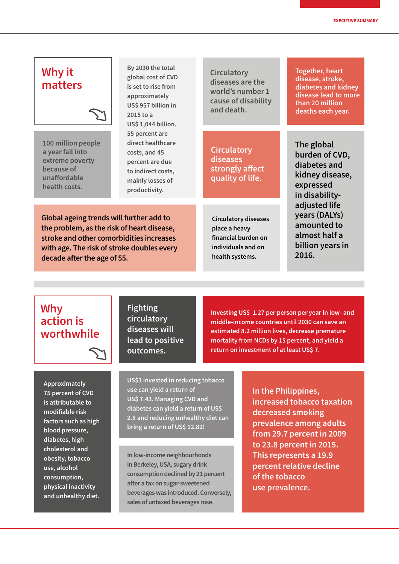#### **Why it matters**

**100 million people a year fall into extreme poverty because of unaffordable health costs.**

**By 2030 the total global cost of CVD is set to rise from approximately US\$ 957 billion in 2015 to a US\$ 1,044 billion. 55 percent are direct healthcare costs, and 45 percent are due to indirect costs, mainly losses of productivity.**

**Circulatory diseases are the world's number 1 cause of disability and death.**

**Circulatory diseases strongly affect quality of life.**

**Global ageing trends will further add to the problem, as the risk of heart disease, stroke and other comorbidities increases with age. The risk of stroke doubles every decade after the age of 55.**

**Circulatory diseases place a heavy financial burden on individuals and on health systems.**

**Together, heart disease, stroke, diabetes and kidney disease lead to more than 20 million deaths each year.**

**The global burden of CVD, diabetes and kidney disease, expressed in disabilityadjusted life years (DALYs) amounted to almost half a billion years in 2016.**

#### **Why action is worthwhile**

**Approximately 75 percent of CVD is attributable to modifiable risk factors such as high blood pressure, diabetes, high cholesterol and obesity, tobacco use, alcohol consumption, physical inactivity and unhealthy diet.**

**Fighting circulatory diseases will lead to positive outcomes.**

**Investing US\$ 1.27 per person per year in low- and middle-income countries until 2030 can save an estimated 8.2 million lives, decrease premature mortality from NCDs by 15 percent, and yield a return on investment of at least US\$ 7.**

**US\$1 invested in reducing tobacco use can yield a return of US\$ 7.43. Managing CVD and diabetes can yield a return of US\$ 2.8 and reducing unhealthy diet can bring a return of US\$ 12.82!**

**In low-income neighbourhoods in Berkeley, USA, sugary drink consumption declined by 21 percent after a tax on sugar-sweetened beverages was introduced. Conversely, sales of untaxed beverages rose.**

**In the Philippines, increased tobacco taxation decreased smoking prevalence among adults from 29.7 percent in 2009 to 23.8 percent in 2015. This represents a 19.9 percent relative decline of the tobacco use prevalence.**